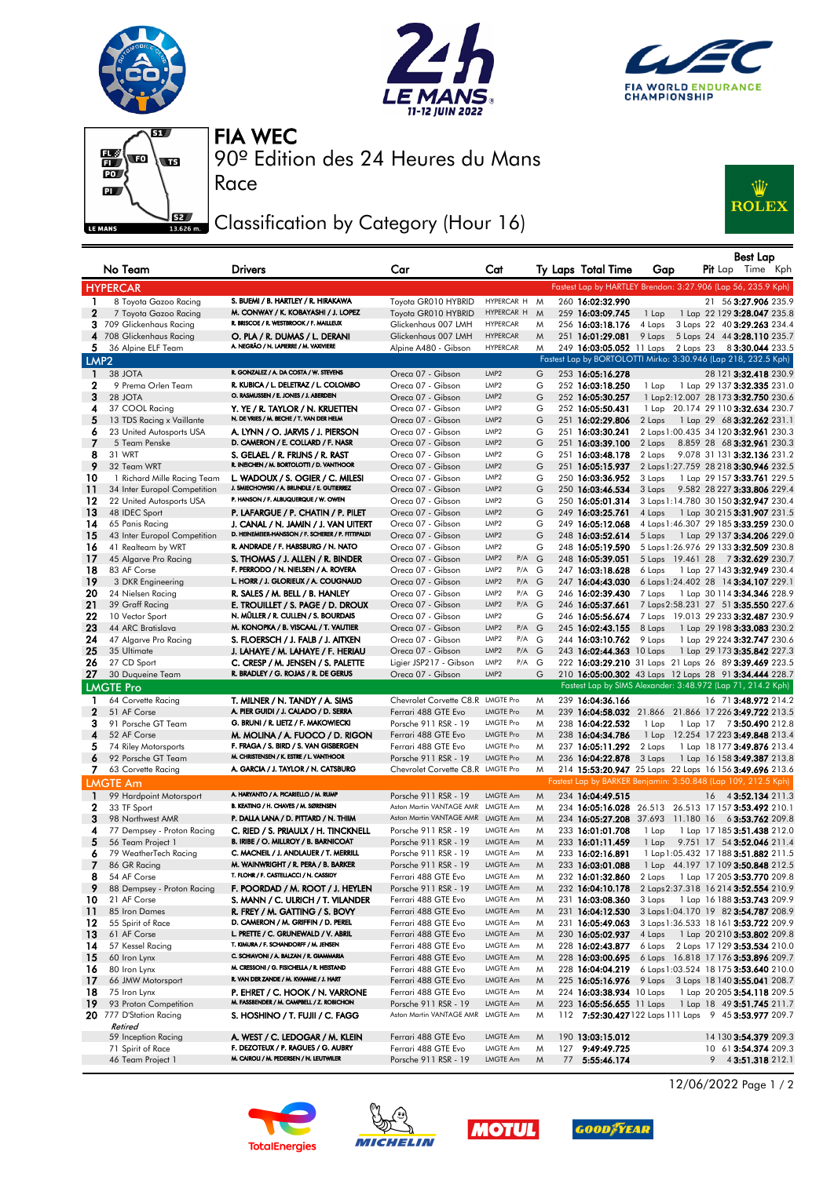







Race

90º Edition des 24 Heures du Mans FIA WEC

## Classification by Category (Hour 16)



|                    | No Team                            | <b>Drivers</b>                                                               | Car                                         | Cat                                            |        | Ty Laps Total Time                   | Gap    | <b>Pit</b> Lap | Best Lap<br>Time Kph                                                                 |
|--------------------|------------------------------------|------------------------------------------------------------------------------|---------------------------------------------|------------------------------------------------|--------|--------------------------------------|--------|----------------|--------------------------------------------------------------------------------------|
|                    | <b>HYPERCAR</b>                    |                                                                              |                                             |                                                |        |                                      |        |                | Fastest Lap by HARTLEY Brendon: 3:27.906 (Lap 56, 235.9 Kph)                         |
| $\mathbf{1}$       | 8 Toyota Gazoo Racing              | S. BUEMI / B. HARTLEY / R. HIRAKAWA                                          | Toyota GR010 HYBRID                         | HYPERCAR H                                     | M      | 260 16:02:32.990                     |        |                | 21 56 3:27.906 235.9                                                                 |
| $\mathbf{2}$       | 7 Toyota Gazoo Racing              | M. CONWAY / K. KOBAYASHI / J. LOPEZ                                          | Toyota GR010 HYBRID                         | HYPERCAR H                                     | M      | 259 16:03:09.745                     | 1 Lap  |                | 1 Lap 22 129 3:28.047 235.8                                                          |
| 3                  | 709 Glickenhaus Racing             | R. BRISCOE / R. WESTBROOK / F. MAILLEUX                                      | Glickenhaus 007 LMH                         | <b>HYPERCAR</b>                                | M      | 256 16:03:18.176                     | 4 Laps |                | 3 Laps 22 40 3:29.263 234.4                                                          |
|                    | 4 708 Glickenhaus Racing           | O. PLA / R. DUMAS / L. DERANI                                                | Glickenhaus 007 LMH                         | <b>HYPERCAR</b>                                | M      | 251 16:01:29.081                     | 9 Laps |                | 5 Laps 24 44 3:28.110 235.7                                                          |
| 5.                 | 36 Alpine ELF Team                 | A. NEGRÃO / N. LAPIERRE / M. VAXIVIERE                                       | Alpine A480 - Gibson                        | <b>HYPERCAR</b>                                | M      |                                      |        |                | 249 16:03:05.052 11 Laps 2 Laps 23 83:30.044 233.5                                   |
| LMP <sub>2</sub>   |                                    |                                                                              |                                             |                                                |        |                                      |        |                | Fastest Lap by BORTOLOTTI Mirko: 3:30.946 (Lap 218, 232.5 Kph)                       |
| $\mathbf{1}$       | 38 JOTA                            | R. GONZALEZ / A. DA COSTA / W. STEVENS                                       | Oreca 07 - Gibson                           | LMP2                                           | G      | 253 16:05:16.278                     |        |                | 28 121 3:32.418 230.9                                                                |
| 2                  | 9 Prema Orlen Team                 | R. KUBICA / L. DELETRAZ / L. COLOMBO                                         | Oreca 07 - Gibson                           | LMP2                                           | G      | 252 16:03:18.250                     | 1 Lap  |                | 1 Lap 29 137 <b>3:32.335</b> 231.0                                                   |
| 3                  | 28 JOTA                            | O. RASMUSSEN / E. JONES / J. ABERDEIN                                        | Oreca 07 - Gibson                           | LMP2                                           | G      | 252 16:05:30.257                     |        |                | 1 Lap 2:12.007 28 173 3:32.750 230.6                                                 |
| 4                  | 37 COOL Racing                     | Y. YE / R. TAYLOR / N. KRUETTEN                                              | Oreca 07 - Gibson                           | LMP2                                           | G      | 252 16:05:50.431                     |        |                | 1 Lap 20.174 29 110 3:32.634 230.7                                                   |
| 5                  | 13 TDS Racing x Vaillante          | N. DE VRIES / M. BECHE / T. VAN DER HELM                                     | Oreca 07 - Gibson                           | LMP <sub>2</sub>                               | G      | 251 16:02:29.806                     | 2 Laps |                | 1 Lap 29 68 3:32.262 231.1                                                           |
| 6                  | 23 United Autosports USA           | A. LYNN / O. JARVIS / J. PIERSON<br>D. CAMERON / E. COLLARD / F. NASR        | Oreca 07 - Gibson                           | LMP2                                           | G      | 251 16:03:30.241                     |        |                | 2 Laps 1:00.435 34 120 3:32.961 230.3                                                |
| 7<br>8             | 5 Team Penske<br>31 WRT            |                                                                              | Oreca 07 - Gibson                           | LMP2<br>LMP2                                   | G<br>G | 251 16:03:39.100<br>251 16:03:48.178 | 2 Laps |                | 8.859 28 68 3:32.961 230.3                                                           |
| 9                  | 32 Team WRT                        | S. GELAEL / R. FRIJNS / R. RAST<br>R. INEICHEN / M. BORTOLOTTI / D. VANTHOOR | Oreca 07 - Gibson<br>Oreca 07 - Gibson      | LMP2                                           | G      | 251 16:05:15.937                     | 2 Laps |                | 9.078 31 131 3:32.136 231.2<br>2 Laps 1:27.759 28 218 3:30.946 232.5                 |
| 10                 | 1 Richard Mille Racing Team        | L. WADOUX / S. OGIER / C. MILESI                                             | Oreca 07 - Gibson                           | LMP2                                           | G      | 250 16:03:36.952                     | 3 Laps |                | 1 Lap 29 157 3:33.761 229.5                                                          |
| 11                 | 34 Inter Europol Competition       | J. SMIECHOWSKI / A. BRUNDLE / E. GUTIERREZ                                   | Oreca 07 - Gibson                           | LMP2                                           | G      | 250 16:03:46.534                     | 3 Laps |                | 9.582 28 227 3:33.806 229.4                                                          |
| 12                 | 22 United Autosports USA           | P. HANSON / F. ALBUQUERQUE / W. OWEN                                         | Oreca 07 - Gibson                           | LMP <sub>2</sub>                               | G      | 250 16:05:01.314                     |        |                | 3 Laps 1:14.780 30 150 3:32.947 230.4                                                |
| 13                 | 48 IDEC Sport                      | P. LAFARGUE / P. CHATIN / P. PILET                                           | Oreca 07 - Gibson                           | LMP <sub>2</sub>                               | G      | 249 16:03:25.761                     | 4 Laps |                | 1 Lap 30 215 <b>3:31.907</b> 231.5                                                   |
| 14                 | 65 Panis Racing                    | J. CANAL / N. JAMIN / J. VAN UITERT                                          | Oreca 07 - Gibson                           | LMP2                                           | G      | 249 16:05:12.068                     |        |                | 4 Laps 1:46.307 29 185 3:33.259 230.0                                                |
| -15                | 43 Inter Europol Competition       | D. HEINEMEIER-HANSSON / F. SCHERER / P. FITTIPALDI                           | Oreca 07 - Gibson                           | LMP2                                           | G      | 248 16:03:52.614                     | 5 Laps |                | 1 Lap 29 137 <b>3:34.206</b> 229.0                                                   |
| 16                 | 41 Realteam by WRT                 | R. ANDRADE / F. HABSBURG / N. NATO                                           | Oreca 07 - Gibson                           | LMP <sub>2</sub>                               | G      | 248 16:05:19.590                     |        |                | 5 Laps 1:26.976 29 133 3:32.509 230.8                                                |
| -17                | 45 Algarve Pro Racing              | S. THOMAS / J. ALLEN / R. BINDER                                             | Oreca 07 - Gibson                           | LMP <sub>2</sub><br>$P/A$ $G$                  |        | 248 16:05:39.051                     |        |                | 5 Laps 19.461 28 73:32.629 230.7                                                     |
| 18                 | 83 AF Corse                        | F. PERRODO / N. NIELSEN / A. ROVERA                                          | Oreca 07 - Gibson                           | LMP <sub>2</sub><br>P/A                        | G      | 247 16:03:18.628                     | 6 Laps |                | 1 Lap 27 143 3:32.949 230.4                                                          |
| -19                | 3 DKR Engineering                  | L. HORR / J. GLORIEUX / A. COUGNAUD                                          | Oreca 07 - Gibson                           | LMP <sub>2</sub><br>$P/A$ G                    |        | 247 16:04:43.030                     |        |                | 6 Laps 1:24.402 28 14 3:34.107 229.1                                                 |
| 20                 | 24 Nielsen Racing                  | R. SALES / M. BELL / B. HANLEY                                               | Oreca 07 - Gibson                           | LMP2<br>P/A G                                  |        | 246 16:02:39.430                     | 7 Laps |                | 1 Lap 30 114 3:34.346 228.9                                                          |
| 21                 | 39 Graff Racing                    | E. TROUILLET / S. PAGE / D. DROUX                                            | Oreca 07 - Gibson                           | LMP <sub>2</sub><br>$P/A$ $G$                  |        | 246 16:05:37.661                     |        |                | 7 Laps 2:58.231 27 51 3:35.550 227.6                                                 |
| 22                 | 10 Vector Sport                    | N. MÜLLER / R. CULLEN / S. BOURDAIS                                          | Oreca 07 - Gibson                           | LMP2                                           | G      | 246 16:05:56.674                     |        |                | 7 Laps 19.013 29 233 3:32.487 230.9                                                  |
| 23                 | 44 ARC Bratislava                  | M. KONOPKA / B. VISCAAL / T. VAUTIER                                         | Oreca 07 - Gibson                           | LMP <sub>2</sub><br>$P/A$ $G$                  |        | 245 16:02:43.155                     | 8 Laps |                | 1 Lap 29 198 3:33.083 230.2                                                          |
| 24                 | 47 Algarve Pro Racing              | S. FLOERSCH / J. FALB / J. AITKEN                                            | Oreca 07 - Gibson                           | LMP <sub>2</sub><br>$P/A$ $G$                  |        | 244 16:03:10.762                     | 9 Laps |                | 1 Lap 29 224 3:32.747 230.6                                                          |
| 25<br>26           | 35 Ultimate<br>27 CD Sport         | J. LAHAYE / M. LAHAYE / F. HERIAU<br>C. CRESP / M. JENSEN / S. PALETTE       | Oreca 07 - Gibson<br>Ligier JSP217 - Gibson | LMP <sub>2</sub><br>$P/A$ $G$<br>LMP2<br>P/A G |        | 243 16:02:44.363 10 Laps             |        |                | 1 Lap 29 173 3:35.842 227.3<br>222 16:03:29.210 31 Laps 21 Laps 26 89 3:39.469 223.5 |
| 27                 | 30 Duqueine Team                   | R. BRADLEY / G. ROJAS / R. DE GERUS                                          | Oreca 07 - Gibson                           | LMP <sub>2</sub>                               | G      |                                      |        |                | 210 16:05:00.302 43 Laps 12 Laps 28 91 3:34.444 228.7                                |
|                    | <b>LMGTE Pro</b>                   |                                                                              |                                             |                                                |        |                                      |        |                | Fastest Lap by SIMS Alexander: 3:48.972 (Lap 71, 214.2 Kph)                          |
|                    |                                    |                                                                              | Chevrolet Corvette C8.R LMGTE Pro           |                                                |        | 239 16:04:36.166                     |        |                | 16 71 3:48.972 214.2                                                                 |
| 1.<br>$\mathbf{2}$ | 64 Corvette Racing<br>51 AF Corse  | T. MILNER / N. TANDY / A. SIMS<br>A. PIER GUIDI / J. CALADO / D. SERRA       | Ferrari 488 GTE Evo                         | <b>LMGTE Pro</b>                               | M<br>M |                                      |        |                | 239 16:04:58.032 21.866 21.866 17 226 3:49.722 213.5                                 |
| 3                  | 91 Porsche GT Team                 | G. BRUNI / R. LIETZ / F. MAKOWIECKI                                          | Porsche 911 RSR - 19                        | <b>LMGTE Pro</b>                               | M      | 238 16:04:22.532                     | 1 Lap  |                | 1 Lap 17 73:50.490 212.8                                                             |
| 4                  | 52 AF Corse                        | M. MOLINA / A. FUOCO / D. RIGON                                              | Ferrari 488 GTE Evo                         | <b>LMGTE Pro</b>                               | M      | 238 16:04:34.786                     |        |                | 1 Lap 12.254 17 223 3:49.848 213.4                                                   |
| 5                  | 74 Riley Motorsports               | F. FRAGA / S. BIRD / S. VAN GISBERGEN                                        | Ferrari 488 GTE Evo                         | <b>LMGTE Pro</b>                               | M      | 237 16:05:11.292                     | 2 Laps |                | 1 Lap 18 177 3:49.876 213.4                                                          |
| 6                  | 92 Porsche GT Team                 | M. CHRISTENSEN / K. ESTRE / L. VANTHOOR                                      | Porsche 911 RSR - 19                        | <b>LMGTE Pro</b>                               | M      | 236 16:04:22.878                     | 3 Laps |                | 1 Lap 16 158 3:49.387 213.8                                                          |
| 7.                 | 63 Corvette Racing                 | A. GARCIA / J. TAYLOR / N. CATSBURG                                          | Chevrolet Corvette C8.R LMGTE Pro           |                                                | M      |                                      |        |                | 214 15:53:20.947 25 Laps 22 Laps 16 156 3:49.696 213.6                               |
|                    | <b>LMGTE Am</b>                    |                                                                              |                                             |                                                |        |                                      |        |                | Fastest Lap by BARKER Benjamin: 3:50.848 (Lap 109, 212.5 Kph)                        |
| -1                 | 99 Hardpoint Motorsport            | A. HARYANTO / A. PICARIELLO / M. RUMP                                        | Porsche 911 RSR - 19                        | LMGTE Am                                       | M      | 234 16:04:49.515                     |        |                | 16 4 3:52.134 211.3                                                                  |
| 2                  | 33 TF Sport                        | B. KEATING / H. CHAVES / M. SØRENSEN                                         | Aston Martin VANTAGE AMR                    | LMGTE Am                                       | M      |                                      |        |                | 234 16:05:16.028 26.513 26.513 17 157 3:53.492 210.1                                 |
| 3                  | 98 Northwest AMR                   | P. DALLA LANA / D. PITTARD / N. THIIM                                        | Aston Martin VANTAGE AMR LMGTE Am           |                                                | M      |                                      |        |                | 234 16:05:27.208 37.693 11.180 16 63:53.762 209.8                                    |
| 4                  | 77 Dempsey - Proton Racing         | C. RIED / S. PRIAULX / H. TINCKNELL                                          | Porsche 911 RSR - 19                        | LMGTE Am                                       | M      | 233 16:01:01.708                     | 1 Lap  |                | 1 Lap 17 185 3:51.438 212.0                                                          |
| 5                  | 56 Team Project 1                  | B. IRIBE / O. MILLROY / B. BARNICOAT                                         | Porsche 911 RSR - 19                        | LMGTE Am                                       | M      | 233 16:01:11.459                     | 1 Lap  |                | 9.751 17 54 3:52.046 211.4                                                           |
| 6                  | 79 WeatherTech Racing              | C. MACNEIL / J. ANDLAUER / T. MERRILL                                        | Porsche 911 RSR - 19                        | LMGTE Am                                       | M      | 233 16:02:16.891                     |        |                | 1 Lap 1:05.432 17 188 3:51.882 211.5                                                 |
|                    | 86 GR Racing                       | M. WAINWRIGHT / R. PERA / B. BARKER                                          | Porsche 911 RSR - 19                        | LMGTE Am                                       | W      | 233 16:03:01.088                     |        |                | 1 Lap 44.197 17 109 3:50.848 212.5                                                   |
| 8                  | 54 AF Corse                        | T. FLOHR / F. CASTELLACCI / N. CASSIDY                                       | Ferrari 488 GTE Evo                         | LMGTE Am                                       | M      | 232 16:01:32.860                     |        |                | 2 Laps 1 Lap 17 205 3:53.770 209.8                                                   |
| 9                  | 88 Dempsey - Proton Racing         | F. POORDAD / M. ROOT / J. HEYLEN                                             | Porsche 911 RSR - 19                        | LMGTE Am                                       | M      | 232 16:04:10.178                     |        |                | 2 Laps 2:37.318 16 214 3:52.554 210.9                                                |
| 10                 | 21 AF Corse                        | S. MANN / C. ULRICH / T. VILANDER                                            | Ferrari 488 GTE Evo                         | LMGTE Am                                       | M      | 231 16:03:08.360                     | 3 Laps |                | 1 Lap 16 188 3:53.743 209.9                                                          |
| $\frac{11}{11}$    | 85 Iron Dames                      | R. FREY / M. GATTING / S. BOVY                                               | Ferrari 488 GTE Evo                         | LMGTE Am                                       | M      | 231 16:04:12.530                     |        |                | 3 Laps 1:04.170 19 82 3:54.787 208.9                                                 |
| 12                 | 55 Spirit of Race                  | D. CAMERON / M. GRIFFIN / D. PEREL<br>L. PRETTE / C. GRUNEWALD / V. ABRIL    | Ferrari 488 GTE Evo                         | LMGTE Am                                       | M      | 231 16:05:49.063                     |        |                | 3 Laps 1:36.533 18 161 3:53.722 209.9                                                |
| 13<br>14           | 61 AF Corse<br>57 Kessel Racing    | T. KIMURA / F. SCHANDORFF / M. JENSEN                                        | Ferrari 488 GTE Evo<br>Ferrari 488 GTE Evo  | LMGTE Am<br>LMGTE Am                           | M<br>M | 230 16:05:02.937<br>228 16:02:43.877 |        |                | 4 Laps 1 Lap 20 210 3:53.802 209.8<br>6 Laps 2 Laps 17 129 3:53.534 210.0            |
| -15                | 60 Iron Lynx                       | C. SCHIAVONI / A. BALZAN / R. GIAMMARIA                                      | Ferrari 488 GTE Evo                         | LMGTE Am                                       | M      | 228 16:03:00.695                     |        |                | 6 Laps 16.818 17 176 3:53.896 209.7                                                  |
| 16                 | 80 Iron Lynx                       | M. CRESSONI / G. FISICHELLA / R. HEISTAND                                    | Ferrari 488 GTE Evo                         | LMGTE Am                                       | M      | 228 16:04:04.219                     |        |                | 6 Laps 1:03.524 18 175 3:53.640 210.0                                                |
| -17                | 66 JMW Motorsport                  | R. VAN DER ZANDE / M. KVAMME / J. HART                                       | Ferrari 488 GTE Evo                         | LMGTE Am                                       | M      |                                      |        |                | 225 16:05:16.976 9 Laps 3 Laps 18 140 3:55.041 208.7                                 |
| 18                 | 75 Iron Lynx                       | P. EHRET / C. HOOK / N. VARRONE                                              | Ferrari 488 GTE Evo                         | LMGTE Am                                       | M      | 224 16:03:38.934 10 Laps             |        |                | 1 Lap 20 205 3:54.118 209.5                                                          |
| 19                 | 93 Proton Competition              | M. FASSBENDER / M. CAMPBELL / Z. ROBICHON                                    | Porsche 911 RSR - 19                        | LMGTE Am                                       | M      | 223 16:05:56.655 11 Laps             |        |                | 1 Lap 18 49 3:51.745 211.7                                                           |
|                    | 20 777 D'Station Racing<br>Retired | S. HOSHINO / T. FUJII / C. FAGG                                              | Aston Martin VANTAGE AMR                    | <b>LMGTE Am</b>                                | M      |                                      |        |                | 112 7:52:30.427122 Laps 111 Laps 9 45 3:53.977 209.7                                 |
|                    | 59 Inception Racing                | A. WEST / C. LEDOGAR / M. KLEIN                                              | Ferrari 488 GTE Evo                         | LMGTE Am                                       | M      | 190 13:03:15.012                     |        |                | 14 130 3:54.379 209.3                                                                |
|                    | 71 Spirit of Race                  | F. DEZOTEUX / P. RAGUES / G. AUBRY                                           | Ferrari 488 GTE Evo                         | LMGTE Am                                       | M      | 127 9:49:49.725                      |        |                | 10 61 3:54.374 209.3                                                                 |
|                    | 46 Team Project 1                  | M. CAIROLI / M. PEDERSEN / N. LEUTWILER                                      | Porsche 911 RSR - 19                        | LMGTE Am                                       | M      | 77 5:55:46.174                       |        |                | $9$ 4 3:51.318 212.1                                                                 |









12/06/2022 Page 1 / 2